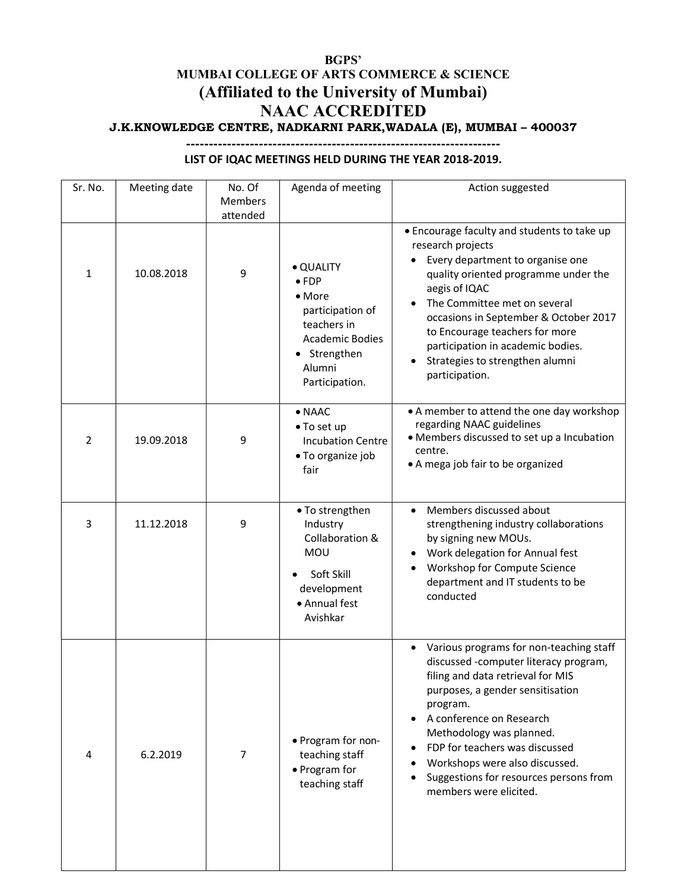## BGPS' MUMBAI COLLEGE OF ARTS COMMERCE & SCIENCE (Affiliated to the University of Mumbai) NAAC ACCREDITED J.K.KNOWLEDGE CENTRE, NADKARNI PARK,WADALA (E), MUMBAI – 400037

## Sr. No.  $\parallel$  Meeting date  $\parallel$  No. Of Members attended Agenda of meeting | action suggested  $\begin{array}{c|c|c|c|c|c|c} \hline \end{array}$  10.08.2018 9  $\begin{array}{c|c|c|c} \multicolumn{3}{c|}{\bullet}$  QUALITY FDP • More participation of teachers in Academic Bodies • Strengthen Alumni Participation. Encourage faculty and students to take up research projects Every department to organise one quality oriented programme under the aegis of IQAC • The Committee met on several occasions in September & October 2017 to Encourage teachers for more participation in academic bodies. • Strategies to strengthen alumni participation. 2 19.09.2018 9 NAAC To set up Incubation Centre To organize job fair A member to attend the one day workshop regarding NAAC guidelines Members discussed to set up a Incubation centre. A mega job fair to be organized 3 11.12.2018 9 • To strengthen Industry Collaboration & MOU Soft Skill development Annual fest Avishkar Members discussed about strengthening industry collaborations by signing new MOUs. Work delegation for Annual fest Workshop for Compute Science department and IT students to be conducted Various programs for non-teaching staff

 Program for nonteaching staff Program for teaching staff

discussed -computer literacy program, filing and data retrieval for MIS purposes, a gender sensitisation

Suggestions for resources persons from

program.

 A conference on Research Methodology was planned. FDP for teachers was discussed Workshops were also discussed.

members were elicited.

4 6.2.2019 7

## LIST OF IQAC MEETINGS HELD DURING THE YEAR 2018-2019.

---------------------------------------------------------------------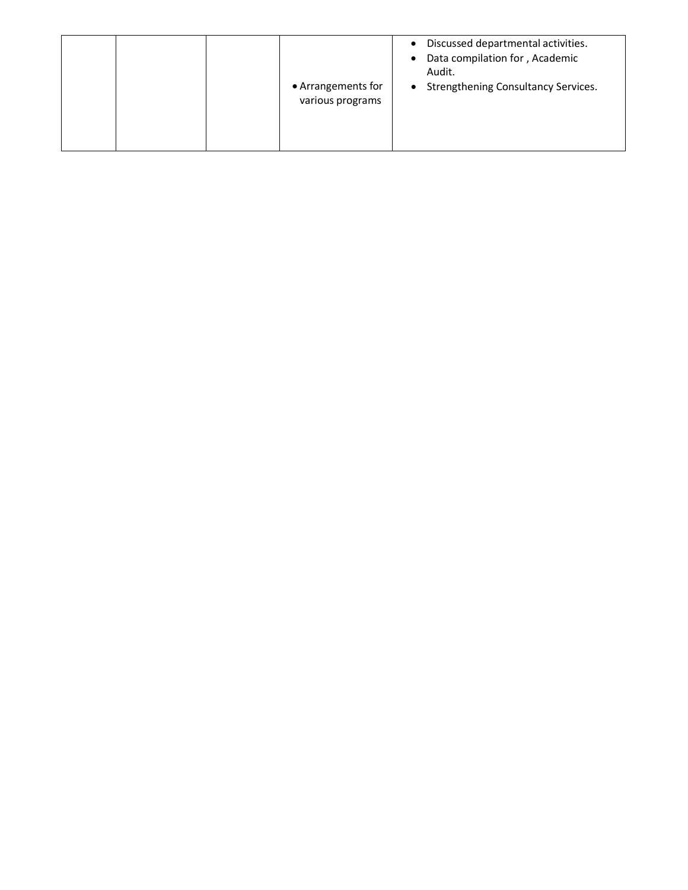|  | $\bullet$<br>$\bullet$<br>• Arrangements for<br>$\bullet$<br>various programs | Discussed departmental activities.<br>Data compilation for, Academic<br>Audit.<br>Strengthening Consultancy Services. |
|--|-------------------------------------------------------------------------------|-----------------------------------------------------------------------------------------------------------------------|
|--|-------------------------------------------------------------------------------|-----------------------------------------------------------------------------------------------------------------------|